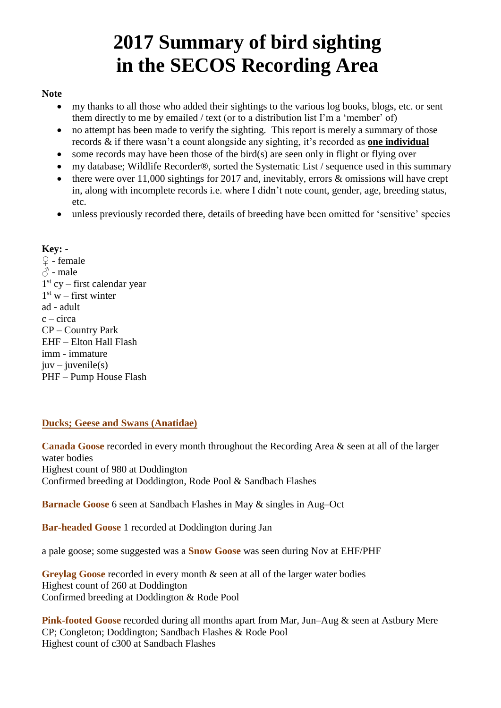# **2017 Summary of bird sighting in the SECOS Recording Area**

# **Note**

- my thanks to all those who added their sightings to the various log books, blogs, etc. or sent them directly to me by emailed / text (or to a distribution list I'm a 'member' of)
- no attempt has been made to verify the sighting. This report is merely a summary of those records & if there wasn't a count alongside any sighting, it's recorded as **one individual**
- some records may have been those of the bird $(s)$  are seen only in flight or flying over
- my database; Wildlife Recorder®, sorted the Systematic List / sequence used in this summary
- there were over 11,000 sightings for 2017 and, inevitably, errors  $\&$  omissions will have crept in, along with incomplete records i.e. where I didn't note count, gender, age, breeding status, etc.
- unless previously recorded there, details of breeding have been omitted for 'sensitive' species

# **Key: -**

 $\Omega$  - female  $\beta$  - male 1 st cy – first calendar year  $1<sup>st</sup>$  w – first winter ad - adult  $c - circa$ CP – Country Park EHF – Elton Hall Flash imm - immature  $juv - iuvenile(s)$ PHF – Pump House Flash

# **Ducks; Geese and Swans (Anatidae)**

**Canada Goose** recorded in every month throughout the Recording Area & seen at all of the larger water bodies Highest count of 980 at Doddington Confirmed breeding at Doddington, Rode Pool & Sandbach Flashes

**Barnacle Goose** 6 seen at Sandbach Flashes in May & singles in Aug–Oct

**Bar-headed Goose** 1 recorded at Doddington during Jan

a pale goose; some suggested was a **Snow Goose** was seen during Nov at EHF/PHF

**Greylag Goose** recorded in every month & seen at all of the larger water bodies Highest count of 260 at Doddington Confirmed breeding at Doddington & Rode Pool

**Pink-footed Goose** recorded during all months apart from Mar, Jun–Aug & seen at Astbury Mere CP; Congleton; Doddington; Sandbach Flashes & Rode Pool Highest count of c300 at Sandbach Flashes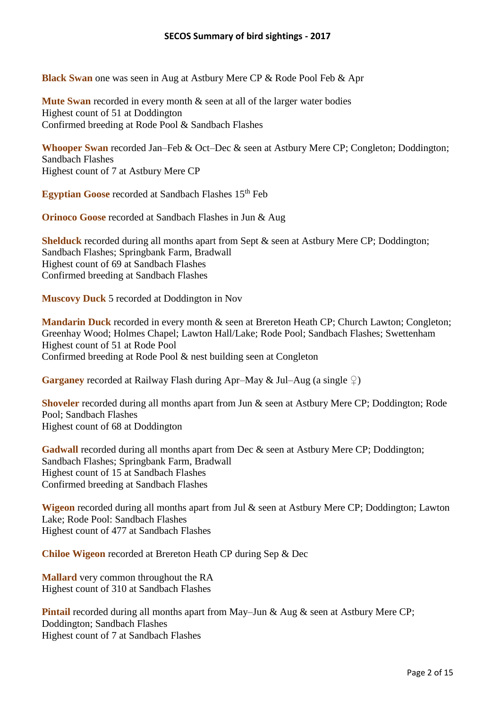**Black Swan** one was seen in Aug at Astbury Mere CP & Rode Pool Feb & Apr

**Mute Swan** recorded in every month & seen at all of the larger water bodies Highest count of 51 at Doddington Confirmed breeding at Rode Pool & Sandbach Flashes

**Whooper Swan** recorded Jan–Feb & Oct–Dec & seen at Astbury Mere CP; Congleton; Doddington; Sandbach Flashes Highest count of 7 at Astbury Mere CP

**Egyptian Goose** recorded at Sandbach Flashes 15<sup>th</sup> Feb

**Orinoco Goose** recorded at Sandbach Flashes in Jun & Aug

**Shelduck** recorded during all months apart from Sept & seen at Astbury Mere CP; Doddington; Sandbach Flashes; Springbank Farm, Bradwall Highest count of 69 at Sandbach Flashes Confirmed breeding at Sandbach Flashes

**Muscovy Duck** 5 recorded at Doddington in Nov

**Mandarin Duck** recorded in every month & seen at Brereton Heath CP; Church Lawton; Congleton; Greenhay Wood; Holmes Chapel; Lawton Hall/Lake; Rode Pool; Sandbach Flashes; Swettenham Highest count of 51 at Rode Pool Confirmed breeding at Rode Pool & nest building seen at Congleton

**Garganey** recorded at Railway Flash during Apr–May & Jul–Aug (a single  $\mathcal{Q}$ )

**Shoveler** recorded during all months apart from Jun & seen at Astbury Mere CP; Doddington; Rode Pool; Sandbach Flashes Highest count of 68 at Doddington

Gadwall recorded during all months apart from Dec & seen at Astbury Mere CP; Doddington; Sandbach Flashes; Springbank Farm, Bradwall Highest count of 15 at Sandbach Flashes Confirmed breeding at Sandbach Flashes

**Wigeon** recorded during all months apart from Jul & seen at Astbury Mere CP; Doddington; Lawton Lake; Rode Pool: Sandbach Flashes Highest count of 477 at Sandbach Flashes

**Chiloe Wigeon** recorded at Brereton Heath CP during Sep & Dec

**Mallard** very common throughout the RA Highest count of 310 at Sandbach Flashes

**Pintail** recorded during all months apart from May–Jun & Aug & seen at Astbury Mere CP; Doddington; Sandbach Flashes Highest count of 7 at Sandbach Flashes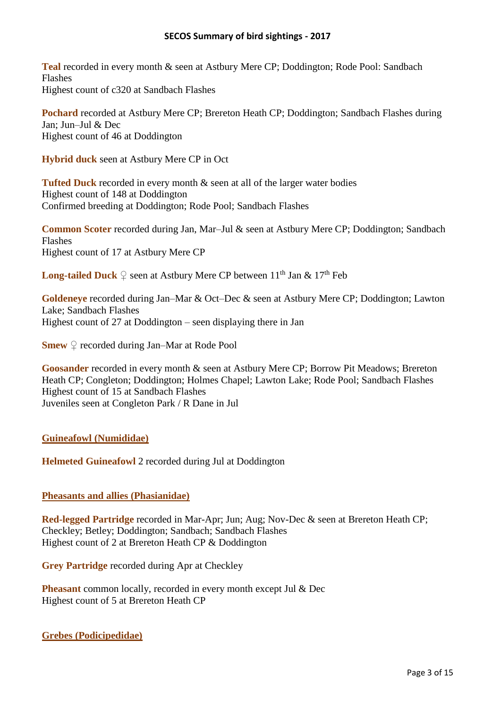**Teal** recorded in every month & seen at Astbury Mere CP; Doddington; Rode Pool: Sandbach Flashes Highest count of c320 at Sandbach Flashes

**Pochard** recorded at Astbury Mere CP; Brereton Heath CP; Doddington; Sandbach Flashes during Jan; Jun–Jul & Dec Highest count of 46 at Doddington

**Hybrid duck** seen at Astbury Mere CP in Oct

**Tufted Duck** recorded in every month & seen at all of the larger water bodies Highest count of 148 at Doddington Confirmed breeding at Doddington; Rode Pool; Sandbach Flashes

**Common Scoter** recorded during Jan, Mar–Jul & seen at Astbury Mere CP; Doddington; Sandbach Flashes Highest count of 17 at Astbury Mere CP

**Long-tailed Duck**  $\Omega$  seen at Astbury Mere CP between  $11^{\text{th}}$  Jan &  $17^{\text{th}}$  Feb

**Goldeneye** recorded during Jan–Mar & Oct–Dec & seen at Astbury Mere CP; Doddington; Lawton Lake; Sandbach Flashes Highest count of 27 at Doddington – seen displaying there in Jan

**Smew** ♀ recorded during Jan–Mar at Rode Pool

**Goosander** recorded in every month & seen at Astbury Mere CP; Borrow Pit Meadows; Brereton Heath CP; Congleton; Doddington; Holmes Chapel; Lawton Lake; Rode Pool; Sandbach Flashes Highest count of 15 at Sandbach Flashes Juveniles seen at Congleton Park / R Dane in Jul

# **Guineafowl (Numididae)**

**Helmeted Guineafowl** 2 recorded during Jul at Doddington

# **Pheasants and allies (Phasianidae)**

**Red-legged Partridge** recorded in Mar-Apr; Jun; Aug; Nov-Dec & seen at Brereton Heath CP; Checkley; Betley; Doddington; Sandbach; Sandbach Flashes Highest count of 2 at Brereton Heath CP & Doddington

**Grey Partridge** recorded during Apr at Checkley

**Pheasant** common locally, recorded in every month except Jul & Dec Highest count of 5 at Brereton Heath CP

**Grebes (Podicipedidae)**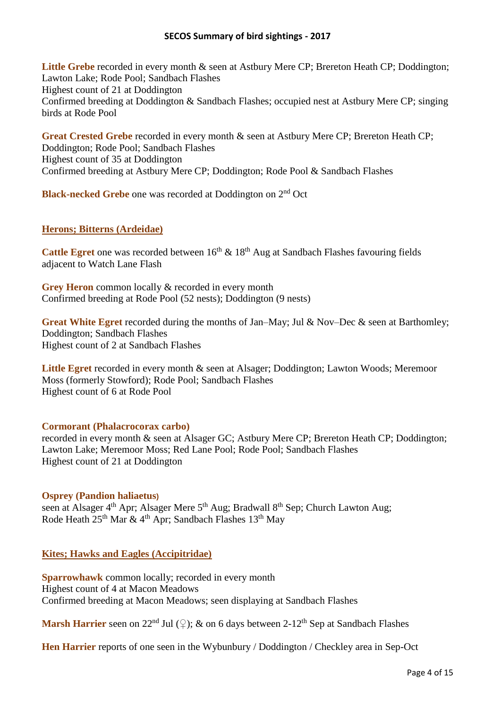Little Grebe recorded in every month & seen at Astbury Mere CP; Brereton Heath CP; Doddington; Lawton Lake; Rode Pool; Sandbach Flashes Highest count of 21 at Doddington Confirmed breeding at Doddington & Sandbach Flashes; occupied nest at Astbury Mere CP; singing birds at Rode Pool

**Great Crested Grebe** recorded in every month & seen at Astbury Mere CP; Brereton Heath CP; Doddington; Rode Pool; Sandbach Flashes Highest count of 35 at Doddington Confirmed breeding at Astbury Mere CP; Doddington; Rode Pool & Sandbach Flashes

## **Black-necked Grebe** one was recorded at Doddington on 2<sup>nd</sup> Oct

#### **Herons; Bitterns (Ardeidae)**

**Cattle Egret** one was recorded between  $16<sup>th</sup>$  &  $18<sup>th</sup>$  Aug at Sandbach Flashes favouring fields adjacent to Watch Lane Flash

**Grey Heron** common locally & recorded in every month Confirmed breeding at Rode Pool (52 nests); Doddington (9 nests)

Great White Egret recorded during the months of Jan–May; Jul & Nov–Dec & seen at Barthomley; Doddington; Sandbach Flashes Highest count of 2 at Sandbach Flashes

Little Egret recorded in every month & seen at Alsager; Doddington; Lawton Woods; Meremoor Moss (formerly Stowford); Rode Pool; Sandbach Flashes Highest count of 6 at Rode Pool

#### **Cormorant (Phalacrocorax carbo)**

recorded in every month & seen at Alsager GC; Astbury Mere CP; Brereton Heath CP; Doddington; Lawton Lake; Meremoor Moss; Red Lane Pool; Rode Pool; Sandbach Flashes Highest count of 21 at Doddington

#### **Osprey (Pandion haliaetus)**

seen at Alsager 4<sup>th</sup> Apr; Alsager Mere 5<sup>th</sup> Aug; Bradwall 8<sup>th</sup> Sep; Church Lawton Aug; Rode Heath 25<sup>th</sup> Mar & 4<sup>th</sup> Apr; Sandbach Flashes 13<sup>th</sup> May

#### **Kites; Hawks and Eagles (Accipitridae)**

**Sparrowhawk** common locally; recorded in every month Highest count of 4 at Macon Meadows Confirmed breeding at Macon Meadows; seen displaying at Sandbach Flashes

**Marsh Harrier** seen on  $22^{nd}$  Jul  $(2)$ ; & on 6 days between  $2-12^{th}$  Sep at Sandbach Flashes

**Hen Harrier** reports of one seen in the Wybunbury / Doddington / Checkley area in Sep-Oct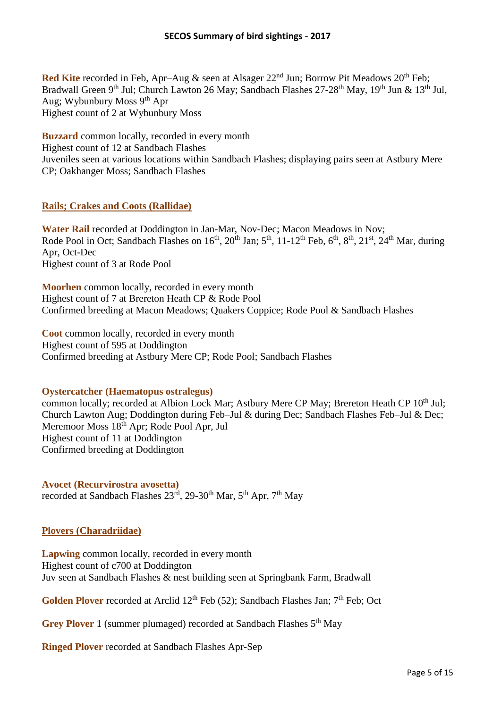**Red Kite** recorded in Feb, Apr–Aug & seen at Alsager 22<sup>nd</sup> Jun; Borrow Pit Meadows 20<sup>th</sup> Feb; Bradwall Green 9<sup>th</sup> Jul; Church Lawton 26 May; Sandbach Flashes 27-28<sup>th</sup> May, 19<sup>th</sup> Jun & 13<sup>th</sup> Jul, Aug; Wybunbury Moss 9<sup>th</sup> Apr Highest count of 2 at Wybunbury Moss

**Buzzard** common locally, recorded in every month Highest count of 12 at Sandbach Flashes Juveniles seen at various locations within Sandbach Flashes; displaying pairs seen at Astbury Mere CP; Oakhanger Moss; Sandbach Flashes

# **Rails; Crakes and Coots (Rallidae)**

**Water Rail** recorded at Doddington in Jan-Mar, Nov-Dec; Macon Meadows in Nov; Rode Pool in Oct; Sandbach Flashes on  $16^{th}$ ,  $20^{th}$  Jan;  $5^{th}$ ,  $11-12^{th}$  Feb,  $6^{th}$ ,  $8^{th}$ ,  $21^{st}$ ,  $24^{th}$  Mar, during Apr, Oct-Dec Highest count of 3 at Rode Pool

**Moorhen** common locally, recorded in every month Highest count of 7 at Brereton Heath CP & Rode Pool Confirmed breeding at Macon Meadows; Quakers Coppice; Rode Pool & Sandbach Flashes

**Coot** common locally, recorded in every month Highest count of 595 at Doddington Confirmed breeding at Astbury Mere CP; Rode Pool; Sandbach Flashes

# **Oystercatcher (Haematopus ostralegus)**

common locally; recorded at Albion Lock Mar; Astbury Mere CP May; Brereton Heath CP 10<sup>th</sup> Jul: Church Lawton Aug; Doddington during Feb–Jul & during Dec; Sandbach Flashes Feb–Jul & Dec; Meremoor Moss 18th Apr; Rode Pool Apr, Jul Highest count of 11 at Doddington Confirmed breeding at Doddington

#### **Avocet (Recurvirostra avosetta)** recorded at Sandbach Flashes 23<sup>rd</sup>, 29-30<sup>th</sup> Mar, 5<sup>th</sup> Apr, 7<sup>th</sup> May

# **Plovers (Charadriidae)**

**Lapwing** common locally, recorded in every month Highest count of c700 at Doddington Juv seen at Sandbach Flashes & nest building seen at Springbank Farm, Bradwall

Golden Plover recorded at Arclid 12<sup>th</sup> Feb (52); Sandbach Flashes Jan; 7<sup>th</sup> Feb; Oct

Grey Plover 1 (summer plumaged) recorded at Sandbach Flashes 5<sup>th</sup> May

**Ringed Plover** recorded at Sandbach Flashes Apr-Sep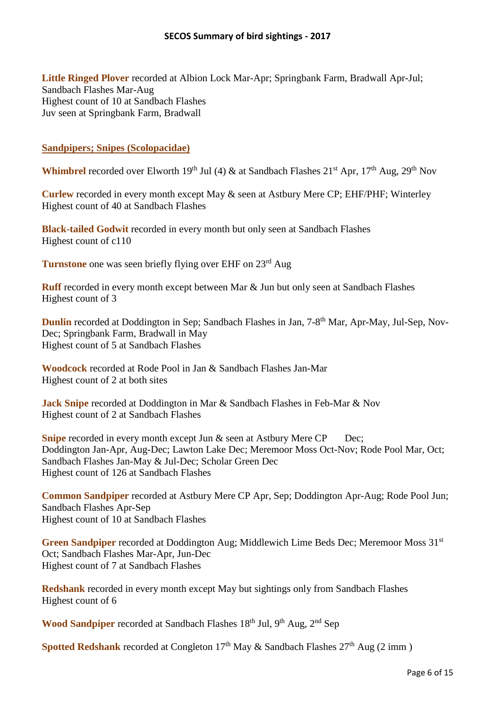**Little Ringed Plover** recorded at Albion Lock Mar-Apr; Springbank Farm, Bradwall Apr-Jul; Sandbach Flashes Mar-Aug Highest count of 10 at Sandbach Flashes Juv seen at Springbank Farm, Bradwall

## **Sandpipers; Snipes (Scolopacidae)**

**Whimbrel** recorded over Elworth 19<sup>th</sup> Jul (4) & at Sandbach Flashes  $21<sup>st</sup>$  Apr,  $17<sup>th</sup>$  Aug,  $29<sup>th</sup>$  Nov

**Curlew** recorded in every month except May & seen at Astbury Mere CP; EHF/PHF; Winterley Highest count of 40 at Sandbach Flashes

**Black-tailed Godwit** recorded in every month but only seen at Sandbach Flashes Highest count of c110

**Turnstone** one was seen briefly flying over EHF on 23<sup>rd</sup> Aug

**Ruff** recorded in every month except between Mar & Jun but only seen at Sandbach Flashes Highest count of 3

**Dunlin** recorded at Doddington in Sep; Sandbach Flashes in Jan, 7-8<sup>th</sup> Mar, Apr-May, Jul-Sep, Nov-Dec; Springbank Farm, Bradwall in May Highest count of 5 at Sandbach Flashes

**Woodcock** recorded at Rode Pool in Jan & Sandbach Flashes Jan-Mar Highest count of 2 at both sites

**Jack Snipe** recorded at Doddington in Mar & Sandbach Flashes in Feb-Mar & Nov Highest count of 2 at Sandbach Flashes

**Snipe** recorded in every month except Jun & seen at Astbury Mere CP Dec; Doddington Jan-Apr, Aug-Dec; Lawton Lake Dec; Meremoor Moss Oct-Nov; Rode Pool Mar, Oct; Sandbach Flashes Jan-May & Jul-Dec; Scholar Green Dec Highest count of 126 at Sandbach Flashes

**Common Sandpiper** recorded at Astbury Mere CP Apr, Sep; Doddington Apr-Aug; Rode Pool Jun; Sandbach Flashes Apr-Sep Highest count of 10 at Sandbach Flashes

**Green Sandpiper** recorded at Doddington Aug; Middlewich Lime Beds Dec; Meremoor Moss 31<sup>st</sup> Oct; Sandbach Flashes Mar-Apr, Jun-Dec Highest count of 7 at Sandbach Flashes

**Redshank** recorded in every month except May but sightings only from Sandbach Flashes Highest count of 6

Wood Sandpiper recorded at Sandbach Flashes 18<sup>th</sup> Jul, 9<sup>th</sup> Aug, 2<sup>nd</sup> Sep

**Spotted Redshank** recorded at Congleton  $17<sup>th</sup>$  May & Sandbach Flashes  $27<sup>th</sup>$  Aug (2 imm)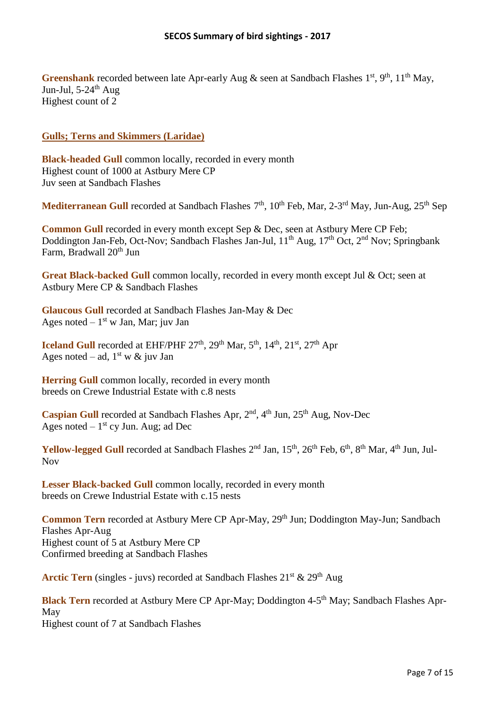Greenshank recorded between late Apr-early Aug & seen at Sandbach Flashes 1<sup>st</sup>, 9<sup>th</sup>, 11<sup>th</sup> May, Jun-Jul,  $5-24$ <sup>th</sup> Aug Highest count of 2

# **Gulls; Terns and Skimmers (Laridae)**

**Black-headed Gull** common locally, recorded in every month Highest count of 1000 at Astbury Mere CP Juv seen at Sandbach Flashes

Mediterranean Gull recorded at Sandbach Flashes 7<sup>th</sup>, 10<sup>th</sup> Feb, Mar, 2-3<sup>rd</sup> May, Jun-Aug, 25<sup>th</sup> Sep

**Common Gull** recorded in every month except Sep & Dec, seen at Astbury Mere CP Feb; Doddington Jan-Feb, Oct-Nov; Sandbach Flashes Jan-Jul, 11<sup>th</sup> Aug, 17<sup>th</sup> Oct, 2<sup>nd</sup> Nov; Springbank Farm, Bradwall 20<sup>th</sup> Jun

Great Black-backed Gull common locally, recorded in every month except Jul & Oct; seen at Astbury Mere CP & Sandbach Flashes

**Glaucous Gull** recorded at Sandbach Flashes Jan-May & Dec Ages noted  $-1<sup>st</sup>$  w Jan, Mar; juv Jan

**Iceland Gull** recorded at EHF/PHF  $27<sup>th</sup>$ ,  $29<sup>th</sup>$  Mar,  $5<sup>th</sup>$ ,  $14<sup>th</sup>$ ,  $21<sup>st</sup>$ ,  $27<sup>th</sup>$  Apr Ages noted – ad,  $1<sup>st</sup>$  w & juv Jan

**Herring Gull** common locally, recorded in every month breeds on Crewe Industrial Estate with c.8 nests

Caspian Gull recorded at Sandbach Flashes Apr, 2<sup>nd</sup>, 4<sup>th</sup> Jun, 25<sup>th</sup> Aug, Nov-Dec Ages noted  $-1<sup>st</sup>$  cy Jun. Aug; ad Dec

Yellow-legged Gull recorded at Sandbach Flashes 2<sup>nd</sup> Jan, 15<sup>th</sup>, 26<sup>th</sup> Feb, 6<sup>th</sup>, 8<sup>th</sup> Mar, 4<sup>th</sup> Jun, Jul-Nov

Lesser Black-backed Gull common locally, recorded in every month breeds on Crewe Industrial Estate with c.15 nests

**Common Tern** recorded at Astbury Mere CP Apr-May, 29<sup>th</sup> Jun; Doddington May-Jun; Sandbach Flashes Apr-Aug Highest count of 5 at Astbury Mere CP Confirmed breeding at Sandbach Flashes

**Arctic Tern** (singles - juvs) recorded at Sandbach Flashes  $21^{st}$  &  $29^{th}$  Aug

Black Tern recorded at Astbury Mere CP Apr-May; Doddington 4-5<sup>th</sup> May; Sandbach Flashes Apr-May Highest count of 7 at Sandbach Flashes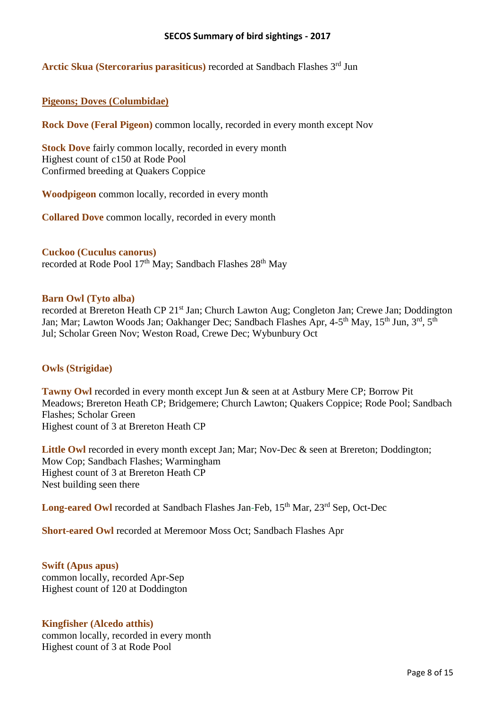Arctic Skua (Stercorarius parasiticus) recorded at Sandbach Flashes 3<sup>rd</sup> Jun

#### **Pigeons; Doves (Columbidae)**

**Rock Dove (Feral Pigeon)** common locally, recorded in every month except Nov

**Stock Dove** fairly common locally, recorded in every month Highest count of c150 at Rode Pool Confirmed breeding at Quakers Coppice

**Woodpigeon** common locally, recorded in every month

**Collared Dove** common locally, recorded in every month

**Cuckoo (Cuculus canorus)** recorded at Rode Pool 17<sup>th</sup> May; Sandbach Flashes 28<sup>th</sup> May

#### **Barn Owl (Tyto alba)**

recorded at Brereton Heath CP 21<sup>st</sup> Jan; Church Lawton Aug; Congleton Jan; Crewe Jan; Doddington Jan; Mar; Lawton Woods Jan; Oakhanger Dec; Sandbach Flashes Apr, 4-5<sup>th</sup> May, 15<sup>th</sup> Jun, 3<sup>rd</sup>, 5<sup>th</sup> Jul; Scholar Green Nov; Weston Road, Crewe Dec; Wybunbury Oct

#### **Owls (Strigidae)**

**Tawny Owl** recorded in every month except Jun & seen at at Astbury Mere CP; Borrow Pit Meadows; Brereton Heath CP; Bridgemere; Church Lawton; Quakers Coppice; Rode Pool; Sandbach Flashes; Scholar Green Highest count of 3 at Brereton Heath CP

Little Owl recorded in every month except Jan; Mar; Nov-Dec & seen at Brereton; Doddington; Mow Cop; Sandbach Flashes; Warmingham Highest count of 3 at Brereton Heath CP Nest building seen there

Long-eared Owl recorded at Sandbach Flashes Jan-Feb, 15<sup>th</sup> Mar, 23<sup>rd</sup> Sep, Oct-Dec

**Short-eared Owl** recorded at Meremoor Moss Oct; Sandbach Flashes Apr

**Swift (Apus apus)** common locally, recorded Apr-Sep Highest count of 120 at Doddington

#### **Kingfisher (Alcedo atthis)**

common locally, recorded in every month Highest count of 3 at Rode Pool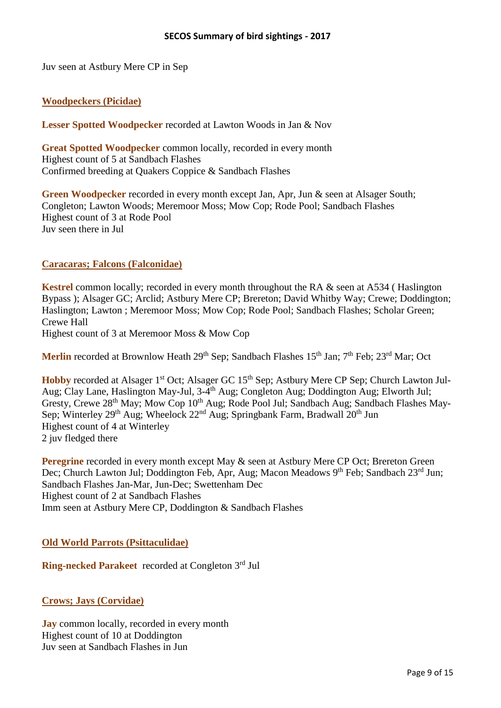Juv seen at Astbury Mere CP in Sep

## **Woodpeckers (Picidae)**

**Lesser Spotted Woodpecker** recorded at Lawton Woods in Jan & Nov

**Great Spotted Woodpecker** common locally, recorded in every month Highest count of 5 at Sandbach Flashes Confirmed breeding at Quakers Coppice & Sandbach Flashes

**Green Woodpecker** recorded in every month except Jan, Apr, Jun & seen at Alsager South; Congleton; Lawton Woods; Meremoor Moss; Mow Cop; Rode Pool; Sandbach Flashes Highest count of 3 at Rode Pool Juv seen there in Jul

## **Caracaras; Falcons (Falconidae)**

**Kestrel** common locally; recorded in every month throughout the RA & seen at A534 (Haslington Bypass ); Alsager GC; Arclid; Astbury Mere CP; Brereton; David Whitby Way; Crewe; Doddington; Haslington; Lawton ; Meremoor Moss; Mow Cop; Rode Pool; Sandbach Flashes; Scholar Green; Crewe Hall

Highest count of 3 at Meremoor Moss & Mow Cop

Merlin recorded at Brownlow Heath 29<sup>th</sup> Sep; Sandbach Flashes 15<sup>th</sup> Jan; 7<sup>th</sup> Feb; 23<sup>rd</sup> Mar; Oct

Hobby recorded at Alsager 1<sup>st</sup> Oct; Alsager GC 15<sup>th</sup> Sep; Astbury Mere CP Sep; Church Lawton Jul-Aug; Clay Lane, Haslington May-Jul, 3-4<sup>th</sup> Aug; Congleton Aug; Doddington Aug; Elworth Jul; Gresty, Crewe 28<sup>th</sup> May; Mow Cop 10<sup>th</sup> Aug; Rode Pool Jul; Sandbach Aug; Sandbach Flashes May-Sep; Winterley 29<sup>th</sup> Aug; Wheelock 22<sup>nd</sup> Aug; Springbank Farm, Bradwall 20<sup>th</sup> Jun Highest count of 4 at Winterley 2 juv fledged there

**Peregrine** recorded in every month except May & seen at Astbury Mere CP Oct; Brereton Green Dec; Church Lawton Jul; Doddington Feb, Apr, Aug; Macon Meadows 9<sup>th</sup> Feb; Sandbach 23<sup>rd</sup> Jun; Sandbach Flashes Jan-Mar, Jun-Dec; Swettenham Dec Highest count of 2 at Sandbach Flashes Imm seen at Astbury Mere CP, Doddington & Sandbach Flashes

#### **Old World Parrots (Psittaculidae)**

Ring-necked Parakeet recorded at Congleton 3rd Jul

**Crows; Jays (Corvidae)**

**Jay** common locally, recorded in every month Highest count of 10 at Doddington Juv seen at Sandbach Flashes in Jun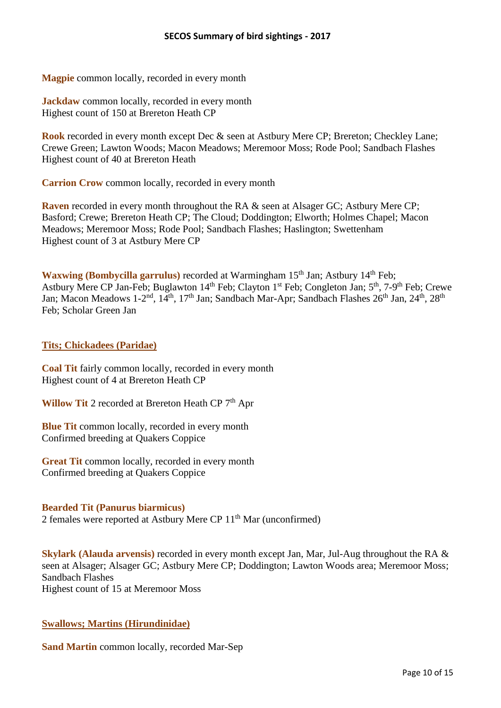**Magpie** common locally, recorded in every month

**Jackdaw** common locally, recorded in every month Highest count of 150 at Brereton Heath CP

**Rook** recorded in every month except Dec & seen at Astbury Mere CP; Brereton; Checkley Lane; Crewe Green; Lawton Woods; Macon Meadows; Meremoor Moss; Rode Pool; Sandbach Flashes Highest count of 40 at Brereton Heath

**Carrion Crow** common locally, recorded in every month

**Raven** recorded in every month throughout the RA & seen at Alsager GC; Astbury Mere CP; Basford; Crewe; Brereton Heath CP; The Cloud; Doddington; Elworth; Holmes Chapel; Macon Meadows; Meremoor Moss; Rode Pool; Sandbach Flashes; Haslington; Swettenham Highest count of 3 at Astbury Mere CP

**Waxwing (Bombycilla garrulus)** recorded at Warmingham 15<sup>th</sup> Jan; Astbury 14<sup>th</sup> Feb; Astbury Mere CP Jan-Feb; Buglawton 14<sup>th</sup> Feb; Clayton 1<sup>st</sup> Feb; Congleton Jan; 5<sup>th</sup>, 7-9<sup>th</sup> Feb; Crewe Jan; Macon Meadows 1-2<sup>nd</sup>, 14<sup>th</sup>, 17<sup>th</sup> Jan; Sandbach Mar-Apr; Sandbach Flashes 26<sup>th</sup> Jan, 24<sup>th</sup>, 28<sup>th</sup> Feb; Scholar Green Jan

## **Tits; Chickadees (Paridae)**

**Coal Tit** fairly common locally, recorded in every month Highest count of 4 at Brereton Heath CP

Willow Tit 2 recorded at Brereton Heath CP 7<sup>th</sup> Apr

**Blue Tit** common locally, recorded in every month Confirmed breeding at Quakers Coppice

**Great Tit** common locally, recorded in every month Confirmed breeding at Quakers Coppice

#### **Bearded Tit (Panurus biarmicus)**

2 females were reported at Astbury Mere CP 11<sup>th</sup> Mar (unconfirmed)

**Skylark (Alauda arvensis)** recorded in every month except Jan, Mar, Jul-Aug throughout the RA & seen at Alsager; Alsager GC; Astbury Mere CP; Doddington; Lawton Woods area; Meremoor Moss; Sandbach Flashes Highest count of 15 at Meremoor Moss

# **Swallows; Martins (Hirundinidae)**

**Sand Martin** common locally, recorded Mar-Sep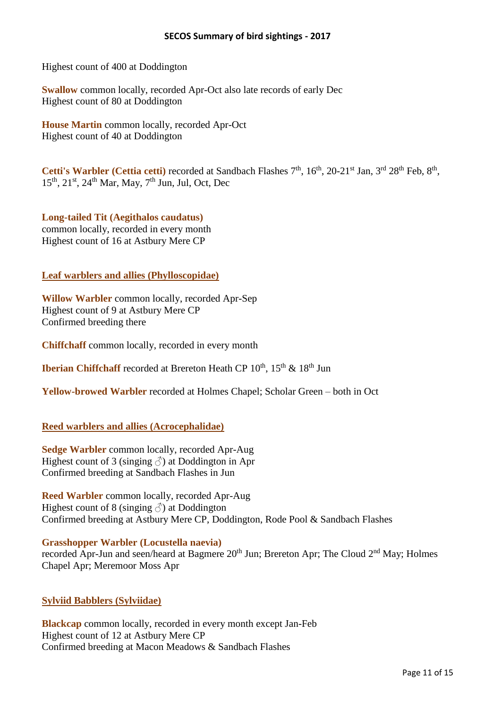Highest count of 400 at Doddington

**Swallow** common locally, recorded Apr-Oct also late records of early Dec Highest count of 80 at Doddington

**House Martin** common locally, recorded Apr-Oct Highest count of 40 at Doddington

Cetti's Warbler (Cettia cetti) recorded at Sandbach Flashes 7<sup>th</sup>, 16<sup>th</sup>, 20-21<sup>st</sup> Jan, 3<sup>rd</sup> 28<sup>th</sup> Feb, 8<sup>th</sup>, 15<sup>th</sup>, 21<sup>st</sup>, 24<sup>th</sup> Mar, May, 7<sup>th</sup> Jun, Jul, Oct, Dec

**Long-tailed Tit (Aegithalos caudatus)** common locally, recorded in every month Highest count of 16 at Astbury Mere CP

#### **Leaf warblers and allies (Phylloscopidae)**

**Willow Warbler** common locally, recorded Apr-Sep Highest count of 9 at Astbury Mere CP Confirmed breeding there

**Chiffchaff** common locally, recorded in every month

**Iberian Chiffchaff** recorded at Brereton Heath CP 10<sup>th</sup>, 15<sup>th</sup> & 18<sup>th</sup> Jun

**Yellow-browed Warbler** recorded at Holmes Chapel; Scholar Green – both in Oct

#### **Reed warblers and allies (Acrocephalidae)**

**Sedge Warbler** common locally, recorded Apr-Aug Highest count of 3 (singing  $\delta$ ) at Doddington in Apr Confirmed breeding at Sandbach Flashes in Jun

**Reed Warbler** common locally, recorded Apr-Aug Highest count of 8 (singing  $\Diamond$ ) at Doddington Confirmed breeding at Astbury Mere CP, Doddington, Rode Pool & Sandbach Flashes

**Grasshopper Warbler (Locustella naevia)**

recorded Apr-Jun and seen/heard at Bagmere 20<sup>th</sup> Jun; Brereton Apr; The Cloud 2<sup>nd</sup> May; Holmes Chapel Apr; Meremoor Moss Apr

#### **Sylviid Babblers (Sylviidae)**

**Blackcap** common locally, recorded in every month except Jan-Feb Highest count of 12 at Astbury Mere CP Confirmed breeding at Macon Meadows & Sandbach Flashes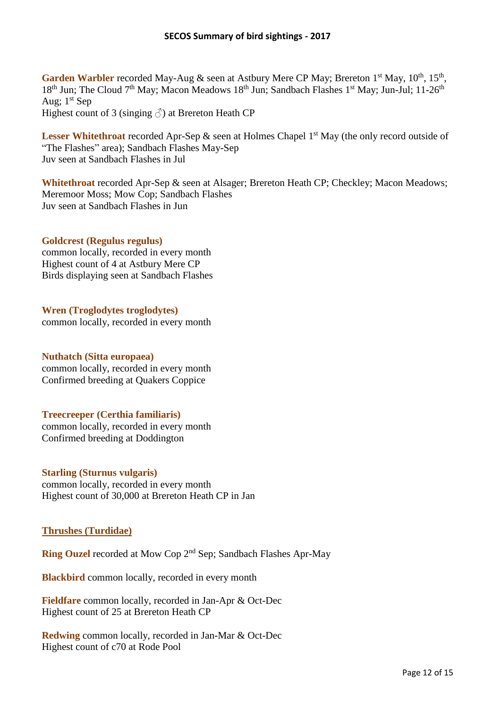Garden Warbler recorded May-Aug & seen at Astbury Mere CP May; Brereton 1<sup>st</sup> May, 10<sup>th</sup>, 15<sup>th</sup>, 18<sup>th</sup> Jun; The Cloud 7<sup>th</sup> May; Macon Meadows 18<sup>th</sup> Jun; Sandbach Flashes 1<sup>st</sup> May; Jun-Jul; 11-26<sup>th</sup> Aug;  $1<sup>st</sup>$  Sep

Highest count of 3 (singing  $\hat{\circ}$ ) at Brereton Heath CP

Lesser Whitethroat recorded Apr-Sep & seen at Holmes Chapel 1<sup>st</sup> May (the only record outside of "The Flashes" area); Sandbach Flashes May-Sep Juv seen at Sandbach Flashes in Jul

**Whitethroat** recorded Apr-Sep & seen at Alsager; Brereton Heath CP; Checkley; Macon Meadows; Meremoor Moss; Mow Cop; Sandbach Flashes Juv seen at Sandbach Flashes in Jun

## **Goldcrest (Regulus regulus)**

common locally, recorded in every month Highest count of 4 at Astbury Mere CP Birds displaying seen at Sandbach Flashes

**Wren (Troglodytes troglodytes)** common locally, recorded in every month

#### **Nuthatch (Sitta europaea)**

common locally, recorded in every month Confirmed breeding at Quakers Coppice

# **Treecreeper (Certhia familiaris)**

common locally, recorded in every month Confirmed breeding at Doddington

#### **Starling (Sturnus vulgaris)**

common locally, recorded in every month Highest count of 30,000 at Brereton Heath CP in Jan

# **Thrushes (Turdidae)**

Ring Ouzel recorded at Mow Cop 2<sup>nd</sup> Sep; Sandbach Flashes Apr-May

**Blackbird** common locally, recorded in every month

**Fieldfare** common locally, recorded in Jan-Apr & Oct-Dec Highest count of 25 at Brereton Heath CP

**Redwing** common locally, recorded in Jan-Mar & Oct-Dec Highest count of c70 at Rode Pool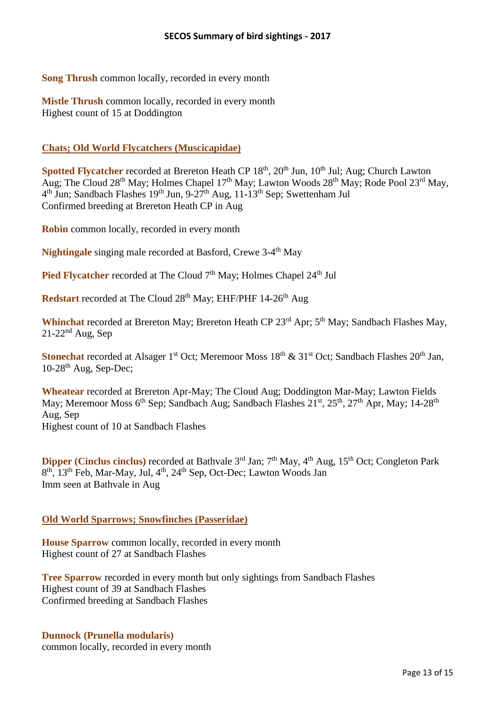**Song Thrush** common locally, recorded in every month

**Mistle Thrush** common locally, recorded in every month Highest count of 15 at Doddington

## **Chats; Old World Flycatchers (Muscicapidae)**

Spotted Flycatcher recorded at Brereton Heath CP 18<sup>th</sup>, 20<sup>th</sup> Jun, 10<sup>th</sup> Jul; Aug; Church Lawton Aug; The Cloud 28<sup>th</sup> May; Holmes Chapel 17<sup>th</sup> May; Lawton Woods 28<sup>th</sup> May; Rode Pool 23<sup>rd</sup> May, 4<sup>th</sup> Jun; Sandbach Flashes 19<sup>th</sup> Jun, 9-27<sup>th</sup> Aug, 11-13<sup>th</sup> Sep; Swettenham Jul Confirmed breeding at Brereton Heath CP in Aug

**Robin** common locally, recorded in every month

Nightingale singing male recorded at Basford, Crewe 3-4<sup>th</sup> May

Pied Flycatcher recorded at The Cloud 7<sup>th</sup> May; Holmes Chapel 24<sup>th</sup> Jul

**Redstart** recorded at The Cloud 28<sup>th</sup> May; EHF/PHF 14-26<sup>th</sup> Aug

Whinchat recorded at Brereton May; Brereton Heath CP 23<sup>rd</sup> Apr; 5<sup>th</sup> May; Sandbach Flashes May,  $21-22^{nd}$  Aug, Sep

Stonechat recorded at Alsager 1<sup>st</sup> Oct; Meremoor Moss 18<sup>th</sup> & 31<sup>st</sup> Oct; Sandbach Flashes 20<sup>th</sup> Jan,  $10-28$ <sup>th</sup> Aug, Sep-Dec;

**Wheatear** recorded at Brereton Apr-May; The Cloud Aug; Doddington Mar-May; Lawton Fields May; Meremoor Moss 6<sup>th</sup> Sep; Sandbach Aug; Sandbach Flashes 21<sup>st</sup>, 25<sup>th</sup>, 27<sup>th</sup> Apr, May; 14-28<sup>th</sup> Aug, Sep Highest count of 10 at Sandbach Flashes

**Dipper (Cinclus cinclus)** recorded at Bathvale 3<sup>rd</sup> Jan; 7<sup>th</sup> May, 4<sup>th</sup> Aug, 15<sup>th</sup> Oct; Congleton Park 8<sup>th</sup>, 13<sup>th</sup> Feb, Mar-May, Jul, 4<sup>th</sup>, 24<sup>th</sup> Sep, Oct-Dec; Lawton Woods Jan Imm seen at Bathvale in Aug

# **Old World Sparrows; Snowfinches (Passeridae)**

**House Sparrow** common locally, recorded in every month Highest count of 27 at Sandbach Flashes

**Tree Sparrow** recorded in every month but only sightings from Sandbach Flashes Highest count of 39 at Sandbach Flashes Confirmed breeding at Sandbach Flashes

# **Dunnock (Prunella modularis)**

common locally, recorded in every month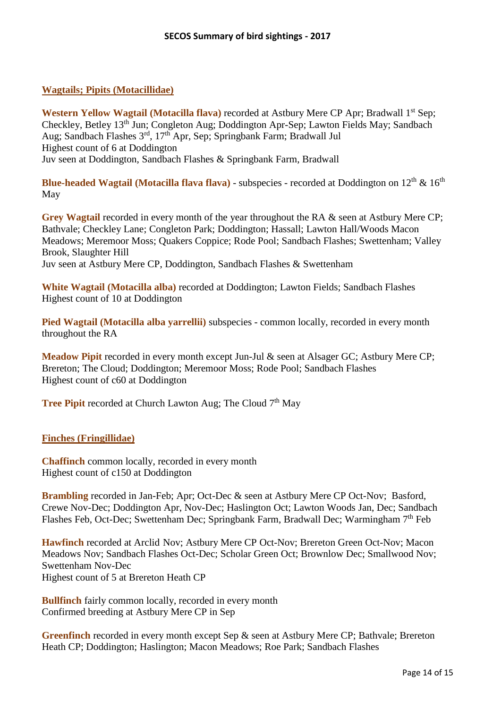#### **Wagtails; Pipits (Motacillidae)**

Western Yellow Wagtail (Motacilla flava) recorded at Astbury Mere CP Apr; Bradwall 1<sup>st</sup> Sep; Checkley, Betley 13th Jun; Congleton Aug; Doddington Apr-Sep; Lawton Fields May; Sandbach Aug; Sandbach Flashes 3<sup>rd</sup>, 17<sup>th</sup> Apr, Sep; Springbank Farm; Bradwall Jul Highest count of 6 at Doddington Juv seen at Doddington, Sandbach Flashes & Springbank Farm, Bradwall

**Blue-headed Wagtail (Motacilla flava flava)** - subspecies - recorded at Doddington on  $12<sup>th</sup>$  &  $16<sup>th</sup>$ May

**Grey Wagtail** recorded in every month of the year throughout the RA & seen at Astbury Mere CP; Bathvale; Checkley Lane; Congleton Park; Doddington; Hassall; Lawton Hall/Woods Macon Meadows; Meremoor Moss; Quakers Coppice; Rode Pool; Sandbach Flashes; Swettenham; Valley Brook, Slaughter Hill Juv seen at Astbury Mere CP, Doddington, Sandbach Flashes & Swettenham

**White Wagtail (Motacilla alba)** recorded at Doddington; Lawton Fields; Sandbach Flashes Highest count of 10 at Doddington

Pied Wagtail (Motacilla alba yarrellii) subspecies - common locally, recorded in every month throughout the RA

**Meadow Pipit** recorded in every month except Jun-Jul & seen at Alsager GC; Astbury Mere CP; Brereton; The Cloud; Doddington; Meremoor Moss; Rode Pool; Sandbach Flashes Highest count of c60 at Doddington

**Tree Pipit** recorded at Church Lawton Aug; The Cloud 7<sup>th</sup> May

#### **Finches (Fringillidae)**

**Chaffinch** common locally, recorded in every month Highest count of c150 at Doddington

**Brambling** recorded in Jan-Feb; Apr; Oct-Dec & seen at Astbury Mere CP Oct-Nov; Basford, Crewe Nov-Dec; Doddington Apr, Nov-Dec; Haslington Oct; Lawton Woods Jan, Dec; Sandbach Flashes Feb, Oct-Dec; Swettenham Dec; Springbank Farm, Bradwall Dec; Warmingham 7<sup>th</sup> Feb

**Hawfinch** recorded at Arclid Nov; Astbury Mere CP Oct-Nov; Brereton Green Oct-Nov; Macon Meadows Nov; Sandbach Flashes Oct-Dec; Scholar Green Oct; Brownlow Dec; Smallwood Nov; Swettenham Nov-Dec Highest count of 5 at Brereton Heath CP

**Bullfinch** fairly common locally, recorded in every month Confirmed breeding at Astbury Mere CP in Sep

**Greenfinch** recorded in every month except Sep & seen at Astbury Mere CP; Bathvale; Brereton Heath CP; Doddington; Haslington; Macon Meadows; Roe Park; Sandbach Flashes